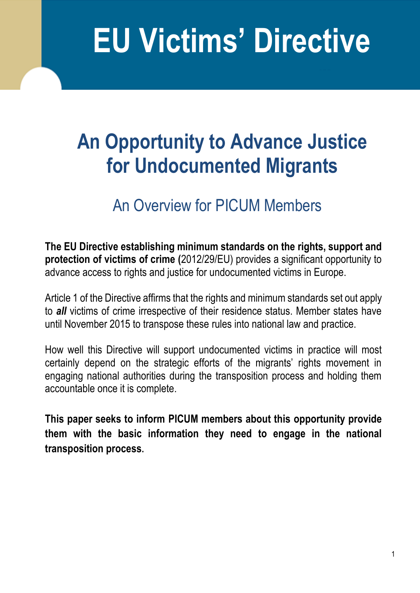# **EU Victims' Directive**

## **An Opportunity to Advance Justice for Undocumented Migrants**

### An Overview for PICUM Members

**The EU Directive establishing minimum standards on the [rights,](http://ec.europa.eu/justice/criminal/victims/rights/index_en.htm) support and protection of victims of crime (**2012/29/EU) provides a significant opportunity to advance access to rights and justice for undocumented victims in Europe.

Article 1 of the Directive affirms that the rights and minimum standards set out apply to *all* victims of crime irrespective of their residence status. Member states have until November 2015 to transpose these rules into national law and practice.

How well this Directive will support undocumented victims in practice will most certainly depend on the strategic efforts of the migrants' rights movement in engaging national authorities during the transposition process and holding them accountable once it is complete.

**This paper seeks to inform PICUM members about this opportunity provide them with the basic information they need to engage in the national transposition process.**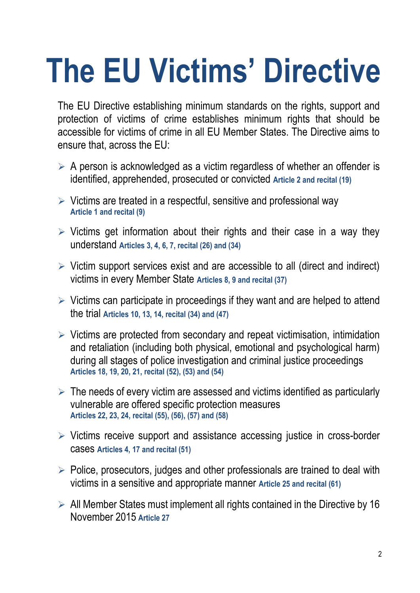# **The EU Victims' Directive**

The EU Directive establishing minimum standards on the rights, support and protection of victims of crime establishes minimum rights that should be accessible for victims of crime in all EU Member States. The Directive aims to ensure that, across the EU:

- $\triangleright$  A person is acknowledged as a victim regardless of whether an offender is identified, apprehended, prosecuted or convicted **Article 2 and recital (19)**
- $\triangleright$  Victims are treated in a respectful, sensitive and professional way **Article 1 and recital (9)**
- $\triangleright$  Victims get information about their rights and their case in a way they understand **Articles 3, 4, 6, 7, recital (26) and (34)**
- $\triangleright$  Victim support services exist and are accessible to all (direct and indirect) victims in every Member State **Articles 8, 9 and recital (37)**
- $\triangleright$  Victims can participate in proceedings if they want and are helped to attend the trial **Articles 10, 13, 14, recital (34) and (47)**
- $\triangleright$  Victims are protected from secondary and repeat victimisation, intimidation and retaliation (including both physical, emotional and psychological harm) during all stages of police investigation and criminal justice proceedings **Articles 18, 19, 20, 21, recital (52), (53) and (54)**
- $\triangleright$  The needs of every victim are assessed and victims identified as particularly vulnerable are offered specific protection measures **Articles 22, 23, 24, recital (55), (56), (57) and (58)**
- $\triangleright$  Victims receive support and assistance accessing justice in cross-border cases **Articles 4, 17 and recital (51)**
- $\triangleright$  Police, prosecutors, judges and other professionals are trained to deal with victims in a sensitive and appropriate manner **Article 25 and recital (61)**
- $\triangleright$  All Member States must implement all rights contained in the Directive by 16 November 2015 **Article 27**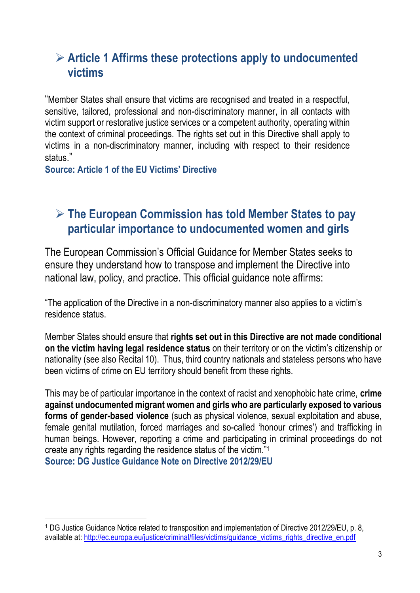#### **Article 1 Affirms these protections apply to undocumented victims**

"Member States shall ensure that victims are recognised and treated in a respectful, sensitive, tailored, professional and non-discriminatory manner, in all contacts with victim support or restorative justice services or a competent authority, operating within the context of criminal proceedings. The rights set out in this Directive shall apply to victims in a non-discriminatory manner, including with respect to their residence status."

**Source: Article 1 of the EU Victims' Directive** 

#### **The European Commission has told Member States to pay particular importance to undocumented women and girls**

The European Commission's Official Guidance for Member States seeks to ensure they understand how to transpose and implement the Directive into national law, policy, and practice. This official guidance note affirms:

"The application of the Directive in a non-discriminatory manner also applies to a victim's residence status.

Member States should ensure that **rights set out in this Directive are not made conditional on the victim having legal residence status** on their territory or on the victim's citizenship or nationality (see also Recital 10). Thus, third country nationals and stateless persons who have been victims of crime on EU territory should benefit from these rights.

This may be of particular importance in the context of racist and xenophobic hate crime, **crime against undocumented migrant women and girls who are particularly exposed to various forms of gender-based violence** (such as physical violence, sexual exploitation and abuse, female genital mutilation, forced marriages and so-called 'honour crimes') and trafficking in human beings. However, reporting a crime and participating in criminal proceedings do not create any rights regarding the residence status of the victim." 1

**Source: DG Justice Guidance Note on Directive 2012/29/EU** 

 $\overline{a}$ 

<sup>1</sup> DG Justice Guidance Notice related to transposition and implementation of Directive 2012/29/EU, p. 8, available at: [http://ec.europa.eu/justice/criminal/files/victims/guidance\\_victims\\_rights\\_directive\\_en.pdf](http://ec.europa.eu/justice/criminal/files/victims/guidance_victims_rights_directive_en.pdf)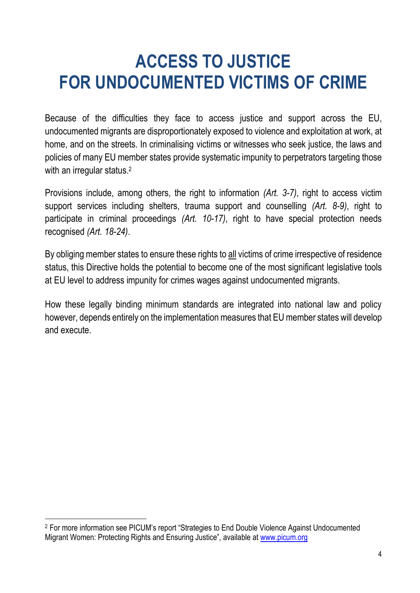## **ACCESS TO JUSTICE FOR UNDOCUMENTED VICTIMS OF CRIME**

Because of the difficulties they face to access justice and support across the EU, undocumented migrants are disproportionately exposed to violence and exploitation at work, at home, and on the streets. In criminalising victims or witnesses who seek justice, the laws and policies of many EU member states provide systematic impunity to perpetrators targeting those with an irregular status.<sup>2</sup>

Provisions include, among others, the right to information *(Art. 3-7)*, right to access victim support services including shelters, trauma support and counselling *(Art. 8-9)*, right to participate in criminal proceedings *(Art. 10-17)*, right to have special protection needs recognised *(Art. 18-24)*.

By obliging member states to ensure these rights to all victims of crime irrespective of residence status, this Directive holds the potential to become one of the most significant legislative tools at EU level to address impunity for crimes wages against undocumented migrants.

How these legally binding minimum standards are integrated into national law and policy however, depends entirely on the implementation measures that EU member states will develop and execute.

 $\overline{a}$ 

<sup>2</sup> For more information see PICUM's report "Strategies to End Double Violence Against Undocumented Migrant Women: Protecting Rights and Ensuring Justice", available at [www.picum.org](http://www.picum.org/)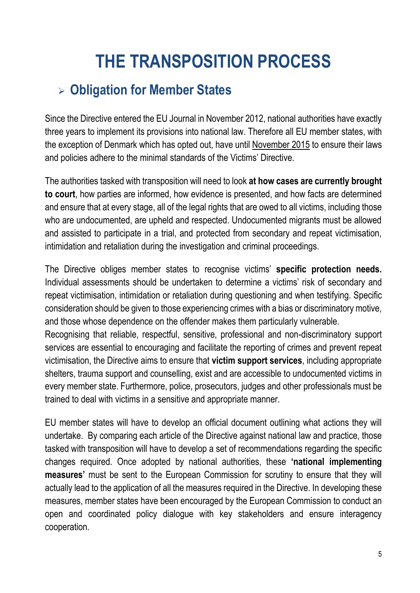## **THE TRANSPOSITION PROCESS**

#### **Obligation for Member States**

Since the Directive entered the EU Journal in November 2012, national authorities have exactly three years to implement its provisions into national law. Therefore all EU member states, with the exception of Denmark which has opted out, have until November 2015 to ensure their laws and policies adhere to the minimal standards of the Victims' Directive.

The authorities tasked with transposition will need to look **at how cases are currently brought to court**, how parties are informed, how evidence is presented, and how facts are determined and ensure that at every stage, all of the [legal rights](http://en.wikipedia.org/wiki/Legal_rights) that are owed to all victims, including those who are undocumented, are upheld and respected. Undocumented migrants must be allowed and assisted to participate in a trial, and protected from secondary and repeat victimisation, intimidation and retaliation during the investigation and criminal proceedings.

The Directive obliges member states to recognise victims' **specific protection needs.** Individual assessments should be undertaken to determine a victims' risk of secondary and repeat victimisation, intimidation or retaliation during questioning and when testifying. Specific consideration should be given to those experiencing crimes with a bias or discriminatory motive, and those whose dependence on the offender makes them particularly vulnerable.

Recognising that reliable, respectful, sensitive, professional and non-discriminatory support services are essential to encouraging and facilitate the reporting of crimes and prevent repeat victimisation, the Directive aims to ensure that **victim support services**, including appropriate shelters, trauma support and counselling, exist and are accessible to undocumented victims in every member state. Furthermore, police, prosecutors, judges and other professionals must be trained to deal with victims in a sensitive and appropriate manner.

EU member states will have to develop an official document outlining what actions they will undertake. By comparing each article of the Directive against national law and practice, those tasked with transposition will have to develop a set of recommendations regarding the specific changes required. Once adopted by national authorities, these **'national implementing measures'** must be sent to the European Commission for scrutiny to ensure that they will actually lead to the application of all the measures required in the Directive. In developing these measures, member states have been encouraged by the European Commission to conduct an open and coordinated policy dialogue with key stakeholders and ensure interagency cooperation.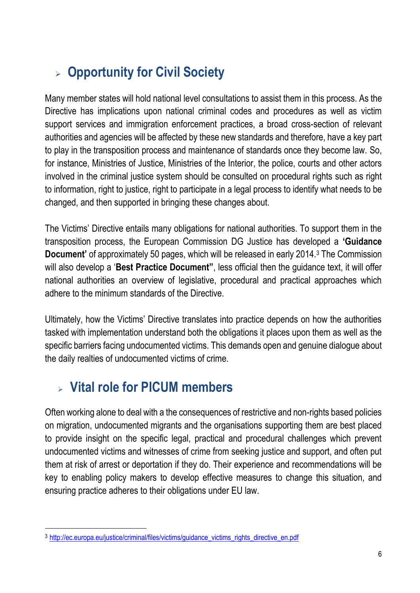#### **Opportunity for Civil Society**

Many member states will hold national level consultations to assist them in this process. As the Directive has implications upon national criminal codes and procedures as well as victim support services and immigration enforcement practices, a broad cross-section of relevant authorities and agencies will be affected by these new standards and therefore, have a key part to play in the transposition process and maintenance of standards once they become law. So, for instance, Ministries of Justice, Ministries of the Interior, the police, courts and other actors involved in the criminal justice system should be consulted on procedural rights such as right to information, right to justice, right to participate in a legal process to identify what needs to be changed, and then supported in bringing these changes about.

The Victims' Directive entails many obligations for national authorities. To support them in the transposition process, the European Commission DG Justice has developed a **'Guidance Document'** of approximately 50 pages, which will be released in early 2014.<sup>3</sup> The Commission will also develop a '**Best Practice Document"**, less official then the guidance text, it will offer national authorities an overview of legislative, procedural and practical approaches which adhere to the minimum standards of the Directive.

Ultimately, how the Victims' Directive translates into practice depends on how the authorities tasked with implementation understand both the obligations it places upon them as well as the specific barriers facing undocumented victims. This demands open and genuine dialogue about the daily realties of undocumented victims of crime.

#### **Vital role for PICUM members**

 $\overline{a}$ 

Often working alone to deal with a the consequences of restrictive and non-rights based policies on migration, undocumented migrants and the organisations supporting them are best placed to provide insight on the specific legal, practical and procedural challenges which prevent undocumented victims and witnesses of crime from seeking justice and support, and often put them at risk of arrest or deportation if they do. Their experience and recommendations will be key to enabling policy makers to develop effective measures to change this situation, and ensuring practice adheres to their obligations under EU law.

<sup>3</sup> [http://ec.europa.eu/justice/criminal/files/victims/guidance\\_victims\\_rights\\_directive\\_en.pdf](http://ec.europa.eu/justice/criminal/files/victims/guidance_victims_rights_directive_en.pdf)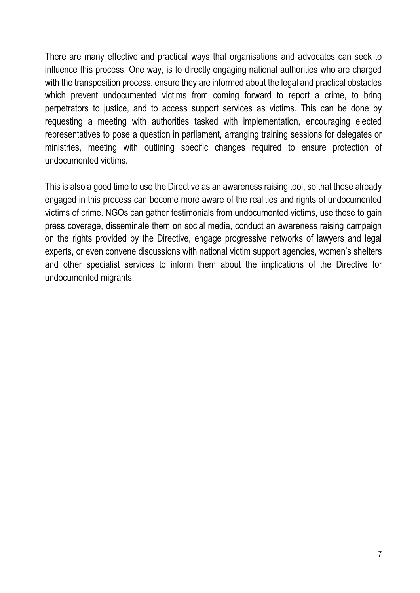There are many effective and practical ways that organisations and advocates can seek to influence this process. One way, is to directly engaging national authorities who are charged with the transposition process, ensure they are informed about the legal and practical obstacles which prevent undocumented victims from coming forward to report a crime, to bring perpetrators to justice, and to access support services as victims. This can be done by requesting a meeting with authorities tasked with implementation, encouraging elected representatives to pose a question in parliament, arranging training sessions for delegates or ministries, meeting with outlining specific changes required to ensure protection of undocumented victims.

This is also a good time to use the Directive as an awareness raising tool, so that those already engaged in this process can become more aware of the realities and rights of undocumented victims of crime. NGOs can gather testimonials from undocumented victims, use these to gain press coverage, disseminate them on social media, conduct an awareness raising campaign on the rights provided by the Directive, engage progressive networks of lawyers and legal experts, or even convene discussions with national victim support agencies, women's shelters and other specialist services to inform them about the implications of the Directive for undocumented migrants,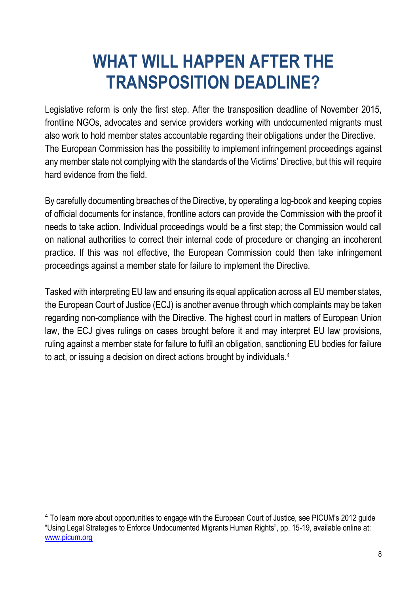## **WHAT WILL HAPPEN AFTER THE TRANSPOSITION DEADLINE?**

Legislative reform is only the first step. After the transposition deadline of November 2015, frontline NGOs, advocates and service providers working with undocumented migrants must also work to hold member states accountable regarding their obligations under the Directive. The European Commission has the possibility to implement infringement proceedings against any member state not complying with the standards of the Victims' Directive, but this will require hard evidence from the field.

By carefully documenting breaches of the Directive, by operating a log-book and keeping copies of official documents for instance, frontline actors can provide the Commission with the proof it needs to take action. Individual proceedings would be a first step; the Commission would call on national authorities to correct their internal code of procedure or changing an incoherent practice. If this was not effective, the European Commission could then take infringement proceedings against a member state for failure to implement the Directive.

Tasked with interpreting EU law and ensuring its equal application across all EU member states, the European Court of Justice (ECJ) is another avenue through which complaints may be taken regarding non-compliance with the Directive. The highest court in matters of European Union law, the ECJ gives rulings on cases brought before it and may interpret EU law provisions, ruling against a member state for failure to fulfil an obligation, sanctioning EU bodies for failure to act, or issuing a decision on direct actions brought by individuals.<sup>4</sup>

 $\overline{a}$ 

<sup>&</sup>lt;sup>4</sup> To learn more about opportunities to engage with the European Court of Justice, see PICUM's 2012 guide "Using Legal Strategies to Enforce Undocumented Migrants Human Rights", pp. 15-19, available online at: [www.picum.org](http://www.picum.org/)